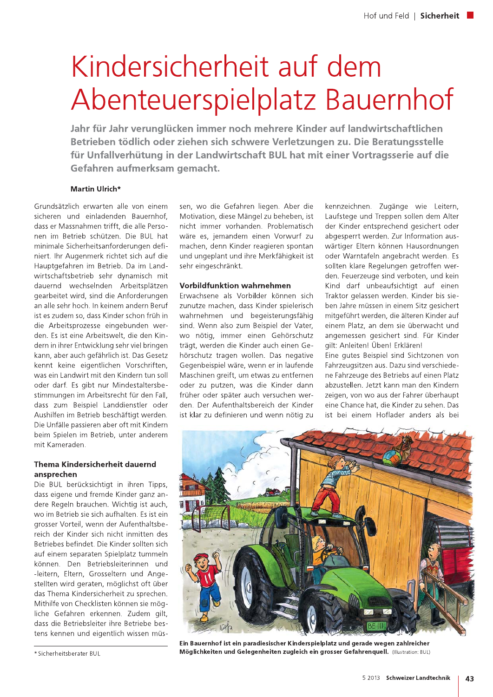# Kindersicherheit auf dem Abenteuerspielplatz Bauernhof

Jahr für Jahr verunglücken immer noch mehrere Kinder auf landwirtschaftlichen Betrieben tödlich oder ziehen sich schwere Verletzungen zu. Die Beratungsstelle für Unfallverhütung in der Landwirtschaft BUL hat mit einer Vortragsserie auf die Gefahren aufmerksam gemacht.

### Martin Ulrich\*

Grundsätzlich erwarten alle von einem sicheren und einladenden Bauernhof. dass er Massnahmen trifft, die alle Personen im Betrieb schützen. Die BUL hat minimale Sicherheitsanforderungen definiert. Ihr Augenmerk richtet sich auf die Hauptgefahren im Betrieb. Da im Landwirtschaftsbetrieb sehr dynamisch mit dauernd wechselnden Arbeitsplätzen gearbeitet wird, sind die Anforderungen an alle sehr hoch. In keinem andern Beruf ist es zudem so, dass Kinder schon früh in die Arbeitsprozesse eingebunden werden. Es ist eine Arbeitswelt, die den Kindern in ihrer Entwicklung sehr viel bringen kann, aber auch gefährlich ist. Das Gesetz kennt keine eigentlichen Vorschriften, was ein Landwirt mit den Kindern tun soll oder darf. Es gibt nur Mindestaltersbestimmungen im Arbeitsrecht für den Fall. dass zum Beispiel Landdienstler oder Aushilfen im Betrieb beschäftigt werden. Die Unfälle passieren aber oft mit Kindern beim Spielen im Betrieb, unter anderem mit Kameraden

#### **Thema Kindersicherheit dauernd** ansprechen

Die BUL berücksichtigt in ihren Tipps, dass eigene und fremde Kinder ganz andere Regeln brauchen. Wichtig ist auch. wo im Betrieb sie sich aufhalten. Es ist ein grosser Vorteil, wenn der Aufenthaltsbereich der Kinder sich nicht inmitten des Betriebes befindet. Die Kinder sollten sich auf einem separaten Spielplatz tummeln können. Den Betriebsleiterinnen und -leitern, Eltern, Grosseltern und Angestellten wird geraten, möglichst oft über das Thema Kindersicherheit zu sprechen. Mithilfe von Checklisten können sie mögliche Gefahren erkennen. Zudem gilt. dass die Betriebsleiter ihre Betriebe bestens kennen und eigentlich wissen müssen, wo die Gefahren liegen. Aber die Motivation, diese Mängel zu beheben, ist nicht immer vorhanden Problematisch wäre es, jemandem einen Vorwurf zu machen, denn Kinder reagieren spontan und ungeplant und ihre Merkfähigkeit ist sehr eingeschränkt.

### **Vorbildfunktion wahrnehmen**

Erwachsene als Vorbilder können sich zunutze machen, dass Kinder spielerisch wahrnehmen und begeisterungsfähig sind. Wenn also zum Beispiel der Vater. wo nötig, immer einen Gehörschutz trägt, werden die Kinder auch einen Gehörschutz tragen wollen. Das negative Gegenbeispiel wäre, wenn er in laufende Maschinen greift, um etwas zu entfernen oder zu putzen, was die Kinder dann früher oder später auch versuchen werden. Der Aufenthaltsbereich der Kinder ist klar zu definieren und wenn nötig zu kennzeichnen. Zugänge wie Leitern, Laufstege und Treppen sollen dem Alter der Kinder entsprechend gesichert oder abgesperrt werden. Zur Information auswärtiger Eltern können Hausordnungen oder Warntafeln angebracht werden. Es sollten klare Regelungen getroffen werden. Feuerzeuge sind verboten, und kein Kind darf unbeaufsichtigt auf einen Traktor gelassen werden. Kinder bis sieben Jahre müssen in einem Sitz gesichert mitgeführt werden, die älteren Kinder auf einem Platz, an dem sie überwacht und angemessen gesichert sind. Für Kinder gilt: Anleiten! Üben! Erklären!

Eine gutes Beispiel sind Sichtzonen von Fahrzeugsitzen aus. Dazu sind verschiedene Fahrzeuge des Betriebs auf einen Platz abzustellen. Jetzt kann man den Kindern zeigen, von wo aus der Fahrer überhaupt eine Chance hat die Kinder zu sehen. Das ist bei einem Hoflader anders als bei



Ein Bauernhof ist ein paradiesischer Kinderspielplatz und gerade wegen zahlreicher Möglichkeiten und Gelegenheiten zugleich ein grosser Gefahrenquell. (Illustration: BUL)

<sup>\*</sup> Sicherheitsberater BUL